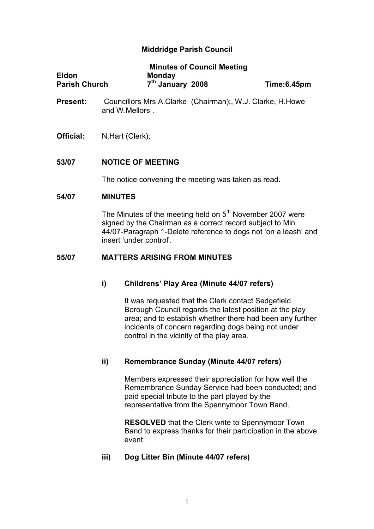# Middridge Parish Council

|                      | <b>Minutes of Council Meeting</b> |             |
|----------------------|-----------------------------------|-------------|
| <b>Eldon</b>         | <b>Monday</b>                     |             |
| <b>Parish Church</b> | 7 <sup>th</sup> January 2008      | Time:6.45pm |

- Present: Councillors Mrs A.Clarke (Chairman);, W.J. Clarke, H.Howe and W.Mellors .
- Official: N.Hart (Clerk);

## 53/07 NOTICE OF MEETING

The notice convening the meeting was taken as read.

## 54/07 MINUTES

The Minutes of the meeting held on  $5<sup>th</sup>$  November 2007 were signed by the Chairman as a correct record subject to Min 44/07-Paragraph 1-Delete reference to dogs not 'on a leash' and insert 'under control'.

## 55/07 MATTERS ARISING FROM MINUTES

## i) Childrens' Play Area (Minute 44/07 refers)

 It was requested that the Clerk contact Sedgefield Borough Council regards the latest position at the play area; and to establish whether there had been any further incidents of concern regarding dogs being not under control in the vicinity of the play area.

## ii) Remembrance Sunday (Minute 44/07 refers)

Members expressed their appreciation for how well the Remembrance Sunday Service had been conducted; and paid special tribute to the part played by the representative from the Spennymoor Town Band.

**RESOLVED** that the Clerk write to Spennymoor Town Band to express thanks for their participation in the above event.

## iii) Dog Litter Bin (Minute 44/07 refers)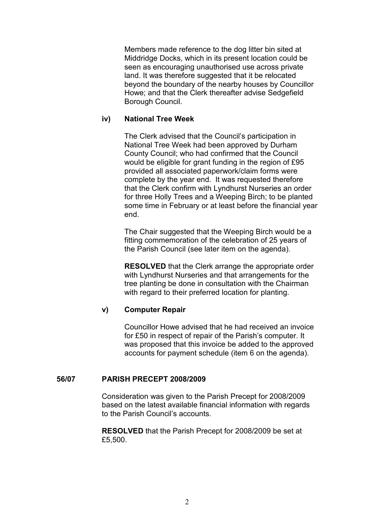Members made reference to the dog litter bin sited at Middridge Docks, which in its present location could be seen as encouraging unauthorised use across private land. It was therefore suggested that it be relocated beyond the boundary of the nearby houses by Councillor Howe; and that the Clerk thereafter advise Sedgefield Borough Council.

# iv) National Tree Week

The Clerk advised that the Council's participation in National Tree Week had been approved by Durham County Council; who had confirmed that the Council would be eligible for grant funding in the region of £95 provided all associated paperwork/claim forms were complete by the year end. It was requested therefore that the Clerk confirm with Lyndhurst Nurseries an order for three Holly Trees and a Weeping Birch; to be planted some time in February or at least before the financial year end.

The Chair suggested that the Weeping Birch would be a fitting commemoration of the celebration of 25 years of the Parish Council (see later item on the agenda).

**RESOLVED** that the Clerk arrange the appropriate order with Lyndhurst Nurseries and that arrangements for the tree planting be done in consultation with the Chairman with regard to their preferred location for planting.

## v) Computer Repair

Councillor Howe advised that he had received an invoice for £50 in respect of repair of the Parish's computer. It was proposed that this invoice be added to the approved accounts for payment schedule (item 6 on the agenda).

## 56/07 PARISH PRECEPT 2008/2009

Consideration was given to the Parish Precept for 2008/2009 based on the latest available financial information with regards to the Parish Council's accounts.

RESOLVED that the Parish Precept for 2008/2009 be set at £5,500.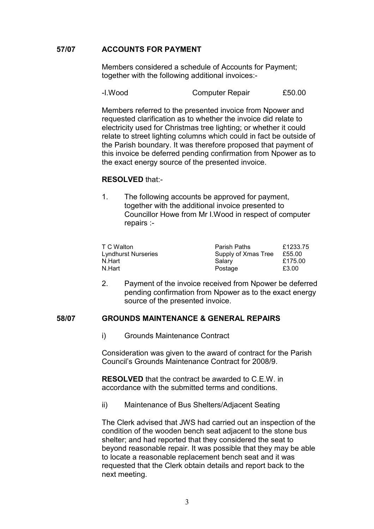## 57/07 ACCOUNTS FOR PAYMENT

Members considered a schedule of Accounts for Payment; together with the following additional invoices:-

| -I.Wood | Computer Repair | £50.00 |
|---------|-----------------|--------|
|---------|-----------------|--------|

 Members referred to the presented invoice from Npower and requested clarification as to whether the invoice did relate to electricity used for Christmas tree lighting; or whether it could relate to street lighting columns which could in fact be outside of the Parish boundary. It was therefore proposed that payment of this invoice be deferred pending confirmation from Npower as to the exact energy source of the presented invoice.

## RESOLVED that:-

 1. The following accounts be approved for payment, together with the additional invoice presented to Councillor Howe from Mr I.Wood in respect of computer repairs :-

| Parish Paths        | £1233.75 |
|---------------------|----------|
| Supply of Xmas Tree | £55.00   |
| Salary              | £175.00  |
| Postage             | £3.00    |
|                     |          |

2. Payment of the invoice received from Npower be deferred pending confirmation from Npower as to the exact energy source of the presented invoice.

## 58/07 GROUNDS MAINTENANCE & GENERAL REPAIRS

i) Grounds Maintenance Contract

Consideration was given to the award of contract for the Parish Council's Grounds Maintenance Contract for 2008/9.

RESOLVED that the contract be awarded to C.E.W. in accordance with the submitted terms and conditions.

ii) Maintenance of Bus Shelters/Adjacent Seating

The Clerk advised that JWS had carried out an inspection of the condition of the wooden bench seat adjacent to the stone bus shelter; and had reported that they considered the seat to beyond reasonable repair. It was possible that they may be able to locate a reasonable replacement bench seat and it was requested that the Clerk obtain details and report back to the next meeting.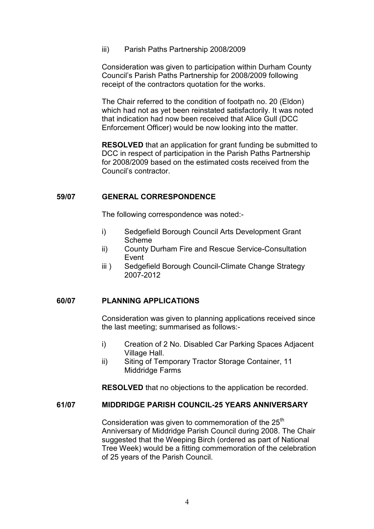iii) Parish Paths Partnership 2008/2009

Consideration was given to participation within Durham County Council's Parish Paths Partnership for 2008/2009 following receipt of the contractors quotation for the works.

The Chair referred to the condition of footpath no. 20 (Eldon) which had not as yet been reinstated satisfactorily. It was noted that indication had now been received that Alice Gull (DCC Enforcement Officer) would be now looking into the matter.

RESOLVED that an application for grant funding be submitted to DCC in respect of participation in the Parish Paths Partnership for 2008/2009 based on the estimated costs received from the Council's contractor.

## 59/07 GENERAL CORRESPONDENCE

The following correspondence was noted:-

- i) Sedgefield Borough Council Arts Development Grant Scheme
- ii) County Durham Fire and Rescue Service-Consultation Event
- iii) Sedgefield Borough Council-Climate Change Strategy 2007-2012

## 60/07 PLANNING APPLICATIONS

Consideration was given to planning applications received since the last meeting; summarised as follows:-

- i) Creation of 2 No. Disabled Car Parking Spaces Adjacent Village Hall.
- ii) Siting of Temporary Tractor Storage Container, 11 Middridge Farms

RESOLVED that no objections to the application be recorded.

# 61/07 MIDDRIDGE PARISH COUNCIL-25 YEARS ANNIVERSARY

Consideration was given to commemoration of the 25<sup>th</sup> Anniversary of Middridge Parish Council during 2008. The Chair suggested that the Weeping Birch (ordered as part of National Tree Week) would be a fitting commemoration of the celebration of 25 years of the Parish Council.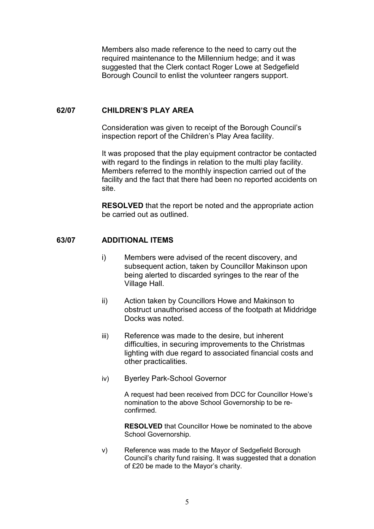Members also made reference to the need to carry out the required maintenance to the Millennium hedge; and it was suggested that the Clerk contact Roger Lowe at Sedgefield Borough Council to enlist the volunteer rangers support.

## 62/07 CHILDREN'S PLAY AREA

Consideration was given to receipt of the Borough Council's inspection report of the Children's Play Area facility.

 It was proposed that the play equipment contractor be contacted with regard to the findings in relation to the multi play facility. Members referred to the monthly inspection carried out of the facility and the fact that there had been no reported accidents on site.

RESOLVED that the report be noted and the appropriate action be carried out as outlined.

## 63/07 ADDITIONAL ITEMS

- i) Members were advised of the recent discovery, and subsequent action, taken by Councillor Makinson upon being alerted to discarded syringes to the rear of the Village Hall.
- ii) Action taken by Councillors Howe and Makinson to obstruct unauthorised access of the footpath at Middridge Docks was noted.
- iii) Reference was made to the desire, but inherent difficulties, in securing improvements to the Christmas lighting with due regard to associated financial costs and other practicalities.
- iv) Byerley Park-School Governor

A request had been received from DCC for Councillor Howe's nomination to the above School Governorship to be reconfirmed.

RESOLVED that Councillor Howe be nominated to the above School Governorship.

v) Reference was made to the Mayor of Sedgefield Borough Council's charity fund raising. It was suggested that a donation of £20 be made to the Mayor's charity.